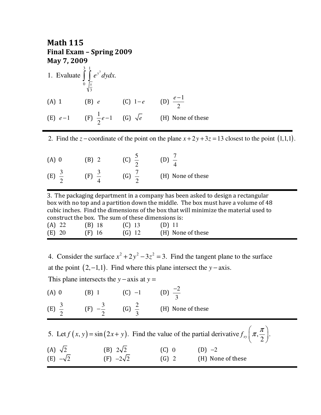| <b>Math 115</b><br>Final Exam - Spring 2009<br>May 7, 2009 |                                                                   |  |                                                                 |  |  |  |  |
|------------------------------------------------------------|-------------------------------------------------------------------|--|-----------------------------------------------------------------|--|--|--|--|
|                                                            | 1. Evaluate $\int_{0}^{3} \int_{\frac{x}{2}}^{1} e^{y^3} dy dx$ . |  |                                                                 |  |  |  |  |
|                                                            | (A) 1 		 (B) e 		 (C) 1-e 		 (D) $\frac{e-1}{2}$                  |  |                                                                 |  |  |  |  |
|                                                            |                                                                   |  | (E) $e-1$ (F) $\frac{1}{2}e-1$ (G) $\sqrt{e}$ (H) None of these |  |  |  |  |

2. Find the z – coordinate of the point on the plane  $x + 2y + 3z = 13$  closest to the point  $(1,1,1)$ .

| $(A)$ 0 | $\Delta$<br>- 2    |                   |
|---------|--------------------|-------------------|
| (E)     | $\mathop{\rm [F]}$ | (H) None of these |

3. The packaging department in a company has been asked to design a rectangular box with no top and a partition down the middle. The box must have a volume of 48 cubic inches. Find the dimensions of the box that will minimize the material used to construct the box. The sum of these dimensions is: (A) 22 (B) 18 (C) 13 (D) 11 (E) 20 (F) 16 (G) 12 (H) None of these

at the point  $(2, -1, 1)$ . Find where this plane intersect the *y* – axis. 4. Consider the surface  $x^2 + 2y^2 - 3z^2 = 3$ . Find the tangent plane to the surface This plane intersects the  $y$  – axis at  $y =$ 

| $(A)$ 0                           | $(B)$ 1            | $(C) -1$                            | (D) $\frac{-2}{3}$ |                                                                                                                                                       |
|-----------------------------------|--------------------|-------------------------------------|--------------------|-------------------------------------------------------------------------------------------------------------------------------------------------------|
| (E) $\frac{3}{2}$                 | $(F) -\frac{3}{2}$ | (G) $\frac{2}{3}$                   | (H) None of these  |                                                                                                                                                       |
| (A) $\sqrt{2}$<br>(E) $-\sqrt{2}$ |                    | (B) $2\sqrt{2}$<br>(F) $-2\sqrt{2}$ | $(C)$ 0<br>$(G)$ 2 | 5. Let $f(x, y) = \sin(2x + y)$ . Find the value of the partial derivative $f_{xy}\left(\pi, \frac{\pi}{2}\right)$ .<br>$(D) -2$<br>(H) None of these |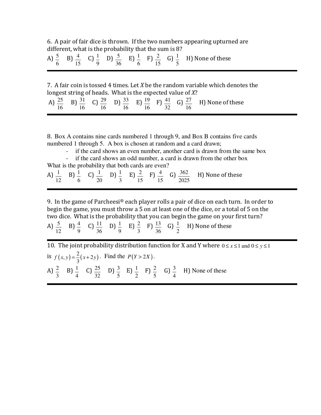6. A pair of fair dice is thrown. If the two numbers appearing upturned are different, what is the probability that the sum is 8?

| A) $\cdot$ |  |  |  | <b>EXECUTE:</b> $\begin{bmatrix} 4 & C & 1 \\ 0 & 1 & D \end{bmatrix}$ $\begin{bmatrix} 5 & E & 1 \\ 0 & -1 & E \end{bmatrix}$ $\begin{bmatrix} 2 & G & 1 \\ 0 & -1 & D \end{bmatrix}$ $\begin{bmatrix} 1 & M & 0 \\ N & -1 & D \end{bmatrix}$ None of these |
|------------|--|--|--|--------------------------------------------------------------------------------------------------------------------------------------------------------------------------------------------------------------------------------------------------------------|
|            |  |  |  |                                                                                                                                                                                                                                                              |

7. A fair coin is tossed 4 times. Let *X* be the random variable which denotes the longest string of heads. What is the expected value of *X*?

|  |  |  | A) $\frac{25}{16}$ B) $\frac{31}{16}$ C) $\frac{29}{16}$ D) $\frac{33}{16}$ E) $\frac{19}{16}$ F) $\frac{41}{32}$ G) $\frac{27}{16}$ H) None of these |
|--|--|--|-------------------------------------------------------------------------------------------------------------------------------------------------------|
|  |  |  |                                                                                                                                                       |

l

8. Box A contains nine cards numbered 1 through 9, and Box B contains five cards numbered 1 through 5. A box is chosen at random and a card drawn;

- if the card shows an even number, another card is drawn from the same box

- if the card shows an odd number, a card is drawn from the other box What is the probability that both cards are even?

A)  $\frac{1}{ }$ 12  $B$ )  $\frac{1}{2}$ 6 C)  $\frac{1}{2}$ 20  $D$ ) $\frac{1}{2}$ 3  $E\left(\frac{2}{2}\right)$ 15  $F$ )  $\frac{4}{7}$ 15 G)  $\frac{362}{2}$ 2025 H) None of these

9. In the game of Parcheesi<sup>®</sup> each player rolls a pair of dice on each turn. In order to begin the game, you must throw a 5 on at least one of the dice, or a total of 5 on the two dice. What is the probability that you can begin the game on your first turn?

A)  $\frac{5}{5}$ 12  $B) \frac{4}{7}$ 9 C)  $\frac{11}{11}$ 36 D)  $\frac{1}{2}$ 9 E)  $\frac{2}{7}$ 3 F)  $\frac{13}{2}$ 36 G)  $\frac{1}{2}$ 2 H) None of these

10. The joint probability distribution function for X and Y where  $0 \le x \le 1$  and  $0 \le y \le 1$ is  $f(x, y) = \frac{2}{3}(x + 2y)$ 3  $f(x, y) = \frac{2}{2}(x + 2y)$ . Find the  $P(Y > 2X)$ . A)  $\frac{2}{7}$ 3  $B$ )  $\frac{1}{1}$ 4 C)  $\frac{25}{11}$ 32 D)  $\frac{3}{7}$ 5  $E$ )  $\frac{1}{2}$ 2  $F$ )  $\frac{2}{7}$ 5 G)  $\frac{3}{7}$ 4 H) None of these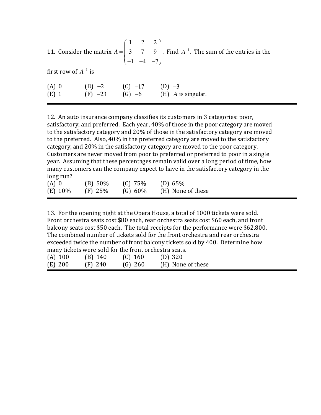11. Consider the matrix 1 2 2 3 7 9  $1 -4 -7$  $A = \begin{bmatrix} 1 & 2 & 2 \\ 3 & 7 & 9 \end{bmatrix}$  $(-1$  −4 −7) . Find  $A^{-1}$ . The sum of the entries in the first row of  $A^{-1}$  is (A) 0 (B) −2 (C) −17 (D) −3<br>
(E) 1 (F) −23 (G) −6 (H) A i (E) 1 (F) −23 (G) −6 (H) *A* is singular.

12. An auto insurance company classifies its customers in 3 categories: poor, satisfactory, and preferred. Each year, 40% of those in the poor category are moved to the satisfactory category and 20% of those in the satisfactory category are moved to the preferred. Also, 40% in the preferred category are moved to the satisfactory category, and 20% in the satisfactory category are moved to the poor category. Customers are never moved from poor to preferred or preferred to poor in a single year. Assuming that these percentages remain valid over a long period of time, how many customers can the company expect to have in the satisfactory category in the long run?

| $(A)$ 0 | $(B) 50\%$ | $(C)$ 75%  | (D) 65%           |
|---------|------------|------------|-------------------|
| (E) 10% | $(F)$ 25%  | $(G) 60\%$ | (H) None of these |

13. For the opening night at the Opera House, a total of 1000 tickets were sold. Front orchestra seats cost \$80 each, rear orchestra seats cost \$60 each, and front balcony seats cost \$50 each. The total receipts for the performance were \$62,800. The combined number of tickets sold for the front orchestra and rear orchestra exceeded twice the number of front balcony tickets sold by 400. Determine how many tickets were sold for the front orchestra seats.

| $(A)$ 100 | $(B)$ 140 | $(C)$ 160 | $(D)$ 320         |
|-----------|-----------|-----------|-------------------|
| $(E)$ 200 | $(F)$ 240 | $(G)$ 260 | (H) None of these |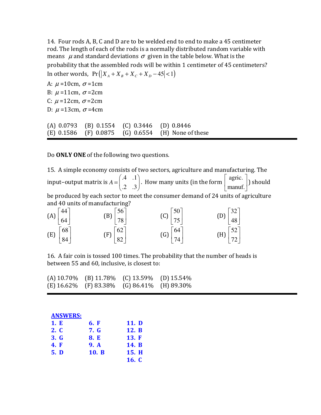14. Four rods A, B, C and D are to be welded end to end to make a 45 centimeter rod. The length of each of the rods is a normally distributed random variable with means  $\mu$  and standard deviations  $\sigma$  given in the table below. What is the probability that the assembled rods will be within 1 centimeter of 45 centimeters? In other words,  $Pr(|X_A + X_B + X_C + X_D - 45| < 1)$ 

A:  $\mu$  =10cm,  $\sigma$  =1cm B:  $\mu$  =11cm,  $\sigma$  =2cm C:  $\mu$  =12cm,  $\sigma$  =2cm D:  $\mu$  =13cm,  $\sigma$  =4cm

(A) 0.0793 (B) 0.1554 (C) 0.3446 (D) 0.8446 (E) 0.1586 (F) 0.0875 (G) 0.6554 (H) None of these

Do **ONLY ONE** of the following two questions.

15. A simple economy consists of two sectors, agriculture and manufacturing. The input–output matrix is .4 .1 .2 .3 *A*  $(.4 \t .1)$  $=\begin{pmatrix} 1 & 1 \\ 2 & 0 \end{pmatrix}$ . How many units (in the form agric. manuf.  $\lceil$  agric.  $\rceil$  $\begin{bmatrix} \text{as } \text{not} \\ \text{manuf.} \end{bmatrix}$  should be produced by each sector to meet the consumer demand of 24 units of agriculture and 40 units of manufacturing?

| $(A)$ 44 | $\lfloor 64 \rfloor$        | (B) | $\vert$ 56<br> 78                                 | (C) $\left  \frac{50}{75} \right $ | 75                                              | (D)                                          | 32 <br>$\lfloor 48 \rfloor$ |  |
|----------|-----------------------------|-----|---------------------------------------------------|------------------------------------|-------------------------------------------------|----------------------------------------------|-----------------------------|--|
| (E)      | $\lceil 68 \rceil$<br>$+84$ |     | $(F)\begin{bmatrix} 62 \\ 0 \end{bmatrix}$<br>182 |                                    | (G) $\left[ \frac{64}{5} \right]$<br>$\vert$ 74 | (H) $\begin{bmatrix} 52 \\ 72 \end{bmatrix}$ |                             |  |

16. A fair coin is tossed 100 times. The probability that the number of heads is between 55 and 60, inclusive, is closest to:

|  | (A) $10.70\%$ (B) $11.78\%$ (C) $13.59\%$ (D) $15.54\%$ |  |
|--|---------------------------------------------------------|--|
|  | $(E)$ 16.62% (F) 83.38% (G) 86.41% (H) 89.30%           |  |

| <b>ANSWERS:</b> |             |       |
|-----------------|-------------|-------|
| 1. E            | 6. F        | 11. D |
| 2. C            | <b>7. G</b> | 12. B |
| 3. G            | 8. E        | 13. F |
| <b>4. F</b>     | <b>9.</b> A | 14. B |
| 5. D            | 10. B       | 15. H |
|                 |             | 16. C |